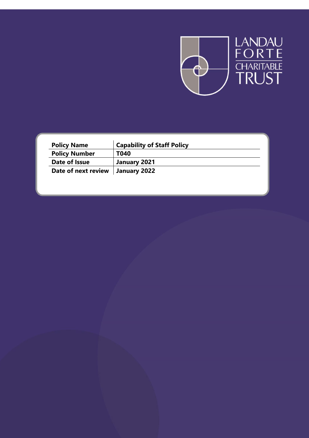

| <b>Policy Name</b>   | <b>Capability of Staff Policy</b> |
|----------------------|-----------------------------------|
| <b>Policy Number</b> | T040                              |
| Date of Issue        | January 2021                      |
| Date of next review  | January 2022                      |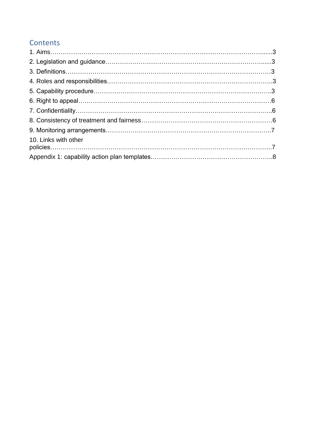# **Contents**

| 10. Links with other |  |
|----------------------|--|
|                      |  |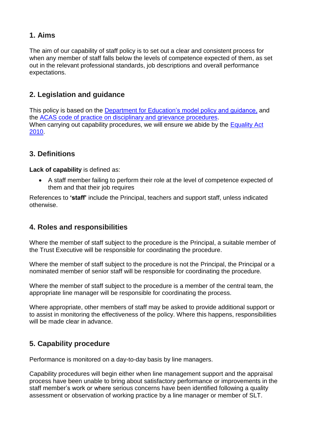### **1. Aims**

The aim of our capability of staff policy is to set out a clear and consistent process for when any member of staff falls below the levels of competence expected of them, as set out in the relevant professional standards, job descriptions and overall performance expectations.

### **2. Legislation and guidance**

This policy is based on the [Department for Education's model policy and guidance,](https://www.gov.uk/government/uploads/system/uploads/attachment_data/file/282598/Teacher_appraisal_and_capability.pdf) and the ACAS [code of practice on disciplinary and grievance procedures.](http://www.acas.org.uk/media/pdf/f/m/Acas-Code-of-Practice-1-on-disciplinary-and-grievance-procedures.pdf) When carrying out capability procedures, we will ensure we abide by the Equality Act [2010.](http://www.legislation.gov.uk/ukpga/2010/15/contents?)

### **3. Definitions**

**Lack of capability** is defined as:

 A staff member failing to perform their role at the level of competence expected of them and that their job requires

References to **'staff'** include the Principal, teachers and support staff, unless indicated otherwise.

### **4. Roles and responsibilities**

Where the member of staff subject to the procedure is the Principal, a suitable member of the Trust Executive will be responsible for coordinating the procedure.

Where the member of staff subject to the procedure is not the Principal, the Principal or a nominated member of senior staff will be responsible for coordinating the procedure.

Where the member of staff subject to the procedure is a member of the central team, the appropriate line manager will be responsible for coordinating the process.

Where appropriate, other members of staff may be asked to provide additional support or to assist in monitoring the effectiveness of the policy. Where this happens, responsibilities will be made clear in advance.

## **5. Capability procedure**

Performance is monitored on a day-to-day basis by line managers.

Capability procedures will begin either when line management support and the appraisal process have been unable to bring about satisfactory performance or improvements in the staff member's work or where serious concerns have been identified following a quality assessment or observation of working practice by a line manager or member of SLT.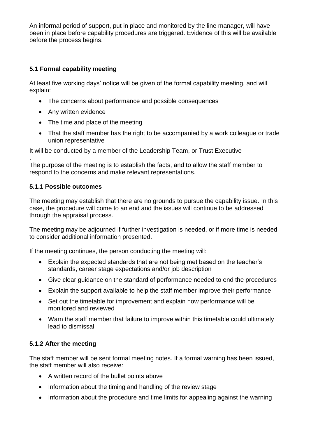An informal period of support, put in place and monitored by the line manager, will have been in place before capability procedures are triggered. Evidence of this will be available before the process begins.

#### **5.1 Formal capability meeting**

At least five working days' notice will be given of the formal capability meeting, and will explain:

- The concerns about performance and possible consequences
- Any written evidence
- The time and place of the meeting
- That the staff member has the right to be accompanied by a work colleague or trade union representative

It will be conducted by a member of the Leadership Team, or Trust Executive

. The purpose of the meeting is to establish the facts, and to allow the staff member to respond to the concerns and make relevant representations.

#### **5.1.1 Possible outcomes**

The meeting may establish that there are no grounds to pursue the capability issue. In this case, the procedure will come to an end and the issues will continue to be addressed through the appraisal process.

The meeting may be adjourned if further investigation is needed, or if more time is needed to consider additional information presented.

If the meeting continues, the person conducting the meeting will:

- Explain the expected standards that are not being met based on the teacher's standards, career stage expectations and/or job description
- Give clear guidance on the standard of performance needed to end the procedures
- Explain the support available to help the staff member improve their performance
- Set out the timetable for improvement and explain how performance will be monitored and reviewed
- Warn the staff member that failure to improve within this timetable could ultimately lead to dismissal

#### **5.1.2 After the meeting**

The staff member will be sent formal meeting notes. If a formal warning has been issued, the staff member will also receive:

- A written record of the bullet points above
- Information about the timing and handling of the review stage
- Information about the procedure and time limits for appealing against the warning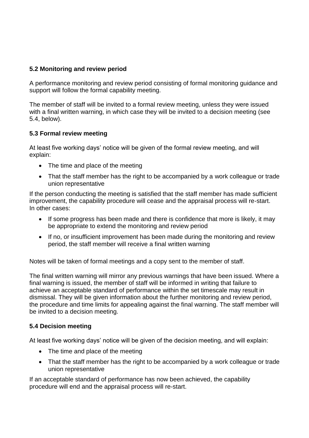#### **5.2 Monitoring and review period**

A performance monitoring and review period consisting of formal monitoring guidance and support will follow the formal capability meeting.

The member of staff will be invited to a formal review meeting, unless they were issued with a final written warning, in which case they will be invited to a decision meeting (see 5.4, below).

#### **5.3 Formal review meeting**

At least five working days' notice will be given of the formal review meeting, and will explain:

- The time and place of the meeting
- That the staff member has the right to be accompanied by a work colleague or trade union representative

If the person conducting the meeting is satisfied that the staff member has made sufficient improvement, the capability procedure will cease and the appraisal process will re-start. In other cases:

- If some progress has been made and there is confidence that more is likely, it may be appropriate to extend the monitoring and review period
- If no, or insufficient improvement has been made during the monitoring and review period, the staff member will receive a final written warning

Notes will be taken of formal meetings and a copy sent to the member of staff.

The final written warning will mirror any previous warnings that have been issued. Where a final warning is issued, the member of staff will be informed in writing that failure to achieve an acceptable standard of performance within the set timescale may result in dismissal. They will be given information about the further monitoring and review period, the procedure and time limits for appealing against the final warning. The staff member will be invited to a decision meeting.

#### **5.4 Decision meeting**

At least five working days' notice will be given of the decision meeting, and will explain:

- The time and place of the meeting
- That the staff member has the right to be accompanied by a work colleague or trade union representative

If an acceptable standard of performance has now been achieved, the capability procedure will end and the appraisal process will re-start.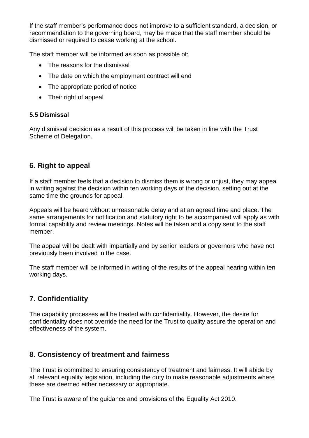If the staff member's performance does not improve to a sufficient standard, a decision, or recommendation to the governing board, may be made that the staff member should be dismissed or required to cease working at the school.

The staff member will be informed as soon as possible of:

- The reasons for the dismissal
- The date on which the employment contract will end
- The appropriate period of notice
- Their right of appeal

#### **5.5 Dismissal**

Any dismissal decision as a result of this process will be taken in line with the Trust Scheme of Delegation.

### **6. Right to appeal**

If a staff member feels that a decision to dismiss them is wrong or unjust, they may appeal in writing against the decision within ten working days of the decision, setting out at the same time the grounds for appeal.

Appeals will be heard without unreasonable delay and at an agreed time and place. The same arrangements for notification and statutory right to be accompanied will apply as with formal capability and review meetings. Notes will be taken and a copy sent to the staff member.

The appeal will be dealt with impartially and by senior leaders or governors who have not previously been involved in the case.

The staff member will be informed in writing of the results of the appeal hearing within ten working days.

### **7. Confidentiality**

The capability processes will be treated with confidentiality. However, the desire for confidentiality does not override the need for the Trust to quality assure the operation and effectiveness of the system.

### **8. Consistency of treatment and fairness**

The Trust is committed to ensuring consistency of treatment and fairness. It will abide by all relevant equality legislation, including the duty to make reasonable adjustments where these are deemed either necessary or appropriate.

The Trust is aware of the guidance and provisions of the Equality Act 2010.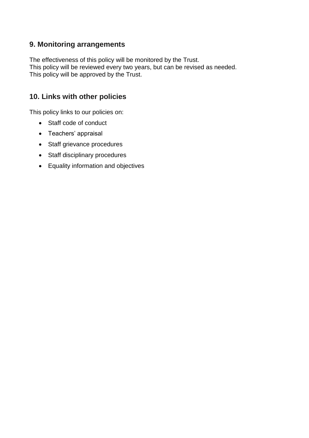### **9. Monitoring arrangements**

The effectiveness of this policy will be monitored by the Trust. This policy will be reviewed every two years, but can be revised as needed. This policy will be approved by the Trust.

### **10. Links with other policies**

This policy links to our policies on:

- Staff code of conduct
- Teachers' appraisal
- Staff grievance procedures
- Staff disciplinary procedures
- Equality information and objectives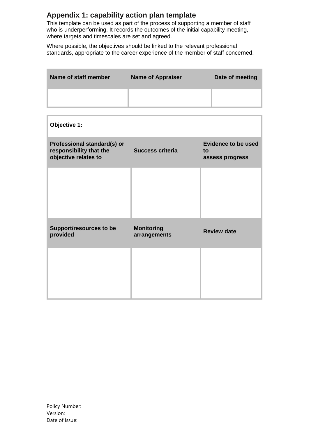### **Appendix 1: capability action plan template**

This template can be used as part of the process of supporting a member of staff who is underperforming. It records the outcomes of the initial capability meeting, where targets and timescales are set and agreed.

Where possible, the objectives should be linked to the relevant professional standards, appropriate to the career experience of the member of staff concerned.

| Name of staff member | <b>Name of Appraiser</b> | Date of meeting |
|----------------------|--------------------------|-----------------|
|                      |                          |                 |

| Objective 1:                                                                   |                                   |                                                     |
|--------------------------------------------------------------------------------|-----------------------------------|-----------------------------------------------------|
| Professional standard(s) or<br>responsibility that the<br>objective relates to | <b>Success criteria</b>           | <b>Evidence to be used</b><br>to<br>assess progress |
|                                                                                |                                   |                                                     |
|                                                                                |                                   |                                                     |
| <b>Support/resources to be</b><br>provided                                     | <b>Monitoring</b><br>arrangements | <b>Review date</b>                                  |
|                                                                                |                                   |                                                     |
|                                                                                |                                   |                                                     |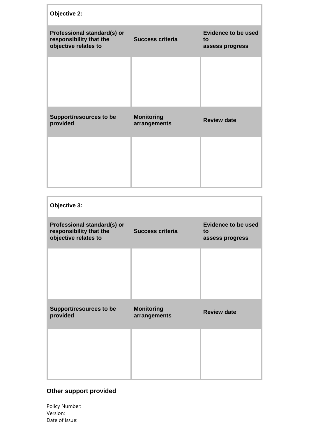| Objective 2:                                                                   |                                   |                                                     |
|--------------------------------------------------------------------------------|-----------------------------------|-----------------------------------------------------|
| Professional standard(s) or<br>responsibility that the<br>objective relates to | <b>Success criteria</b>           | <b>Evidence to be used</b><br>to<br>assess progress |
|                                                                                |                                   |                                                     |
| Support/resources to be<br>provided                                            | <b>Monitoring</b><br>arrangements | <b>Review date</b>                                  |
|                                                                                |                                   |                                                     |
|                                                                                |                                   |                                                     |
|                                                                                |                                   |                                                     |

| Objective 3:                                                                   |                                   |                                                     |
|--------------------------------------------------------------------------------|-----------------------------------|-----------------------------------------------------|
| Professional standard(s) or<br>responsibility that the<br>objective relates to | <b>Success criteria</b>           | <b>Evidence to be used</b><br>to<br>assess progress |
|                                                                                |                                   |                                                     |
|                                                                                |                                   |                                                     |
| Support/resources to be<br>provided                                            | <b>Monitoring</b><br>arrangements | <b>Review date</b>                                  |
|                                                                                |                                   |                                                     |
|                                                                                |                                   |                                                     |

## **Other support provided**

Policy Number: Version: Date of Issue: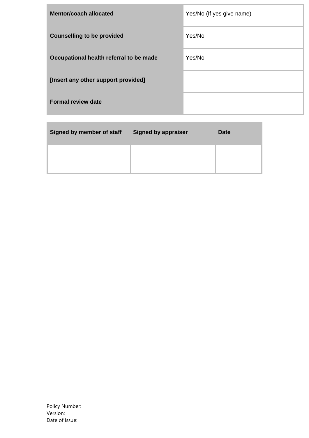| <b>Mentor/coach allocated</b>           | Yes/No (If yes give name) |
|-----------------------------------------|---------------------------|
| <b>Counselling to be provided</b>       | Yes/No                    |
| Occupational health referral to be made | Yes/No                    |
| [Insert any other support provided]     |                           |
| <b>Formal review date</b>               |                           |
|                                         |                           |

| Signed by member of staff | Signed by appraiser | <b>Date</b> |
|---------------------------|---------------------|-------------|
|                           |                     |             |